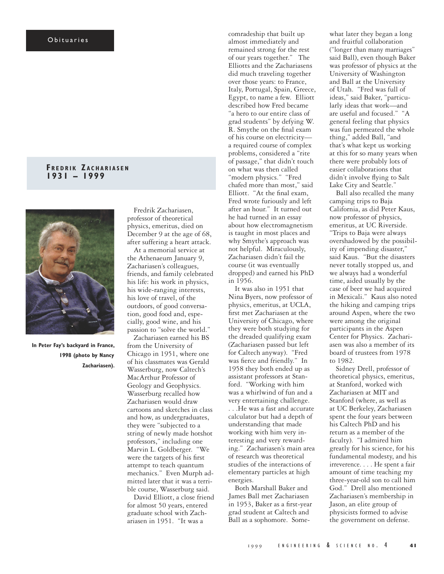## O bituaries

## **F R E D R I K Z A C H A R I A S E N 1931 – 1999**



**In Peter Fay's backyard in France, 1998 (photo by Nancy Zachariasen).**

Fredrik Zachariasen, professor of theoretical physics, emeritus, died on December 9 at the age of 68, after suffering a heart attack.

At a memorial service at the Athenaeum January 9, Zachariasen's colleagues, friends, and family celebrated his life: his work in physics, his wide-ranging interests, his love of travel, of the outdoors, of good conversation, good food and, especially, good wine, and his passion to "solve the world."

Zachariasen earned his BS from the University of Chicago in 1951, where one of his classmates was Gerald Wasserburg, now Caltech's MacArthur Professor of Geology and Geophysics. Wasserburg recalled how Zachariasen would draw cartoons and sketches in class and how, as undergraduates, they were "subjected to a string of newly made hotshot professors," including one Marvin L. Goldberger. "We were the targets of his first attempt to teach quantum mechanics." Even Murph admitted later that it was a terrible course, Wasserburg said.

David Elliott, a close friend for almost 50 years, entered graduate school with Zachariasen in 1951. "It was a

comradeship that built up almost immediately and remained strong for the rest of our years together." The Elliotts and the Zachariasens did much traveling together over those years: to France, Italy, Portugal, Spain, Greece, Egypt, to name a few. Elliott described how Fred became "a hero to our entire class of grad students" by defying W. R. Smythe on the final exam of his course on electricity a required course of complex problems, considered a "rite of passage," that didn't touch on what was then called "modern physics." "Fred chafed more than most," said Elliott. "At the final exam, Fred wrote furiously and left after an hour." It turned out he had turned in an essay about how electromagnetism is taught in most places and why Smythe's approach was not helpful. Miraculously, Zachariasen didn't fail the course (it was eventually dropped) and earned his PhD in 1956.

It was also in 1951 that Nina Byers, now professor of physics, emeritus, at UCLA, first met Zachariasen at the University of Chicago, where they were both studying for the dreaded qualifying exam (Zachariasen passed but left for Caltech anyway). "Fred was fierce and friendly." In 1958 they both ended up as assistant professors at Stanford. "Working with him was a whirlwind of fun and a very entertaining challenge. . . .He was a fast and accurate calculator but had a depth of understanding that made working with him very interesting and very rewarding." Zachariasen's main area of research was theoretical studies of the interactions of elementary particles at high energies.

Both Marshall Baker and James Ball met Zachariasen in 1953, Baker as a first-year grad student at Caltech and Ball as a sophomore. Some-

what later they began a long and fruitful collaboration ("longer than many marriages" said Ball), even though Baker was professor of physics at the University of Washington and Ball at the University of Utah. "Fred was full of ideas," said Baker, "particularly ideas that work—and are useful and focused." "A general feeling that physics was fun permeated the whole thing," added Ball, "and that's what kept us working at this for so many years when there were probably lots of easier collaborations that didn't involve flying to Salt Lake City and Seattle."

Ball also recalled the many camping trips to Baja California, as did Peter Kaus, now professor of physics, emeritus, at UC Riverside. "Trips to Baja were always overshadowed by the possibility of impending disaster," said Kaus. "But the disasters never totally stopped us, and we always had a wonderful time, aided usually by the case of beer we had acquired in Mexicali." Kaus also noted the hiking and camping trips around Aspen, where the two were among the original participants in the Aspen Center for Physics. Zachariasen was also a member of its board of trustees from 1978 to 1982.

Sidney Drell, professor of theoretical physics, emeritus, at Stanford, worked with Zachariasen at MIT and Stanford (where, as well as at UC Berkeley, Zachariasen spent the four years between his Caltech PhD and his return as a member of the faculty). "I admired him greatly for his science, for his fundamental modesty, and his irreverence. . . . He spent a fair amount of time teaching my three-year-old son to call him God." Drell also mentioned Zachariasen's membership in Jason, an elite group of physicists formed to advise the government on defense.